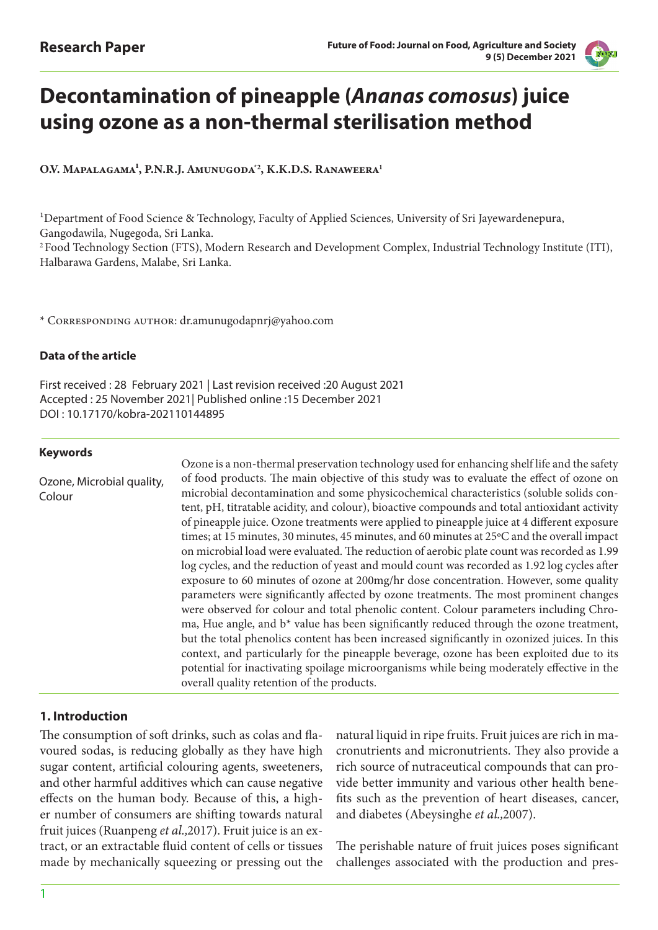

# **Decontamination of pineapple (***Ananas comosus***) juice using ozone as a non-thermal sterilisation method**

O.V. MAPALAGAMA<sup>1</sup>, P.N.R.J. AMUNUGODA<sup>22</sup>, K.K.D.S. RANAWEERA<sup>1</sup>

1Department of Food Science & Technology, Faculty of Applied Sciences, University of Sri Jayewardenepura, Gangodawila, Nugegoda, Sri Lanka. 2 Food Technology Section (FTS), Modern Research and Development Complex, Industrial Technology Institute (ITI), Halbarawa Gardens, Malabe, Sri Lanka.

\* Corresponding author: dr.amunugodapnrj@yahoo.com

# **Data of the article**

First received : 28 February 2021 | Last revision received :20 August 2021 Accepted : 25 November 2021| Published online :15 December 2021 DOI : 10.17170/kobra-202110144895

## **Keywords**

Ozone, Microbial quality, Colour Ozone is a non-thermal preservation technology used for enhancing shelf life and the safety of food products. The main objective of this study was to evaluate the effect of ozone on microbial decontamination and some physicochemical characteristics (soluble solids content, pH, titratable acidity, and colour), bioactive compounds and total antioxidant activity of pineapple juice. Ozone treatments were applied to pineapple juice at 4 different exposure times; at 15 minutes, 30 minutes, 45 minutes, and 60 minutes at 25°C and the overall impact on microbial load were evaluated. The reduction of aerobic plate count was recorded as 1.99 log cycles, and the reduction of yeast and mould count was recorded as 1.92 log cycles after exposure to 60 minutes of ozone at 200mg/hr dose concentration. However, some quality parameters were significantly affected by ozone treatments. The most prominent changes were observed for colour and total phenolic content. Colour parameters including Chroma, Hue angle, and b\* value has been significantly reduced through the ozone treatment, but the total phenolics content has been increased significantly in ozonized juices. In this context, and particularly for the pineapple beverage, ozone has been exploited due to its potential for inactivating spoilage microorganisms while being moderately effective in the overall quality retention of the products.

# **1. Introduction**

The consumption of soft drinks, such as colas and flavoured sodas, is reducing globally as they have high sugar content, artificial colouring agents, sweeteners, and other harmful additives which can cause negative effects on the human body. Because of this, a higher number of consumers are shifting towards natural fruit juices (Ruanpeng *et al.,*2017). Fruit juice is an extract, or an extractable fluid content of cells or tissues made by mechanically squeezing or pressing out the natural liquid in ripe fruits. Fruit juices are rich in macronutrients and micronutrients. They also provide a rich source of nutraceutical compounds that can provide better immunity and various other health benefits such as the prevention of heart diseases, cancer, and diabetes (Abeysinghe *et al.,*2007).

The perishable nature of fruit juices poses significant challenges associated with the production and pres-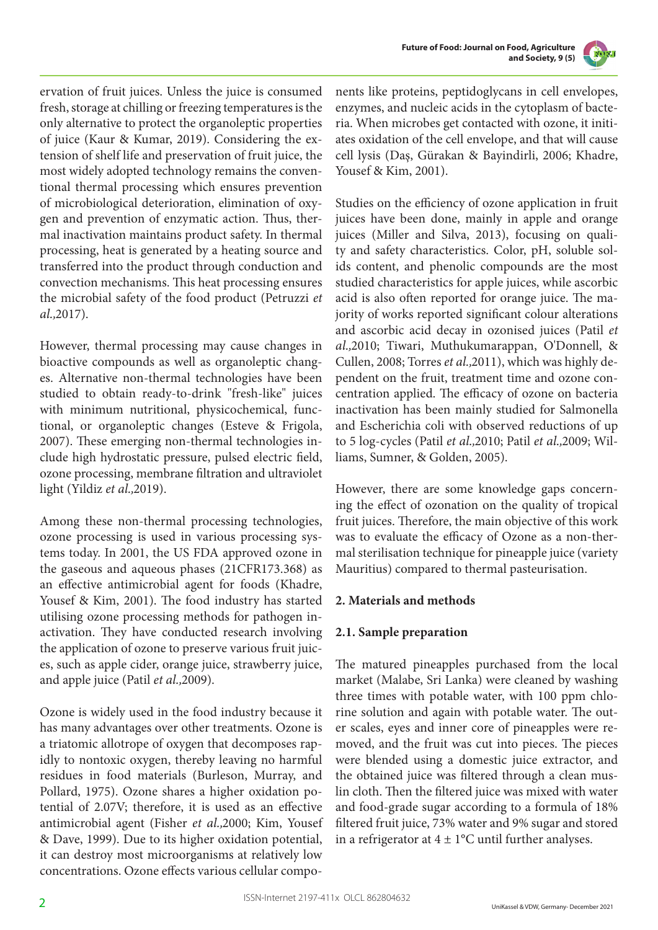



ervation of fruit juices. Unless the juice is consumed fresh, storage at chilling or freezing temperatures is the only alternative to protect the organoleptic properties of juice (Kaur & Kumar, 2019). Considering the extension of shelf life and preservation of fruit juice, the most widely adopted technology remains the conventional thermal processing which ensures prevention of microbiological deterioration, elimination of oxygen and prevention of enzymatic action. Thus, thermal inactivation maintains product safety. In thermal processing, heat is generated by a heating source and transferred into the product through conduction and convection mechanisms. This heat processing ensures the microbial safety of the food product (Petruzzi *et al.,*2017).

However, thermal processing may cause changes in bioactive compounds as well as organoleptic changes. Alternative non-thermal technologies have been studied to obtain ready-to-drink "fresh-like" juices with minimum nutritional, physicochemical, functional, or organoleptic changes (Esteve & Frigola, 2007). These emerging non-thermal technologies include high hydrostatic pressure, pulsed electric field, ozone processing, membrane filtration and ultraviolet light (Yildiz *et al.,*2019).

Among these non-thermal processing technologies, ozone processing is used in various processing systems today. In 2001, the US FDA approved ozone in the gaseous and aqueous phases (21CFR173.368) as an effective antimicrobial agent for foods (Khadre, Yousef & Kim, 2001). The food industry has started utilising ozone processing methods for pathogen inactivation. They have conducted research involving the application of ozone to preserve various fruit juices, such as apple cider, orange juice, strawberry juice, and apple juice (Patil *et al.,*2009).

Ozone is widely used in the food industry because it has many advantages over other treatments. Ozone is a triatomic allotrope of oxygen that decomposes rapidly to nontoxic oxygen, thereby leaving no harmful residues in food materials (Burleson, Murray, and Pollard, 1975). Ozone shares a higher oxidation potential of 2.07V; therefore, it is used as an effective antimicrobial agent (Fisher *et al.,*2000; Kim, Yousef & Dave, 1999). Due to its higher oxidation potential, it can destroy most microorganisms at relatively low concentrations. Ozone effects various cellular components like proteins, peptidoglycans in cell envelopes, enzymes, and nucleic acids in the cytoplasm of bacteria. When microbes get contacted with ozone, it initiates oxidation of the cell envelope, and that will cause cell lysis (Daş, Gürakan & Bayindirli, 2006; Khadre, Yousef & Kim, 2001).

Studies on the efficiency of ozone application in fruit juices have been done, mainly in apple and orange juices (Miller and Silva, 2013), focusing on quality and safety characteristics. Color, pH, soluble solids content, and phenolic compounds are the most studied characteristics for apple juices, while ascorbic acid is also often reported for orange juice. The majority of works reported significant colour alterations and ascorbic acid decay in ozonised juices (Patil *et al.,*2010; Tiwari, Muthukumarappan, O'Donnell, & Cullen, 2008; Torres *et al.,*2011), which was highly dependent on the fruit, treatment time and ozone concentration applied. The efficacy of ozone on bacteria inactivation has been mainly studied for Salmonella and Escherichia coli with observed reductions of up to 5 log-cycles (Patil *et al.,*2010; Patil *et al.,*2009; Williams, Sumner, & Golden, 2005).

However, there are some knowledge gaps concerning the effect of ozonation on the quality of tropical fruit juices. Therefore, the main objective of this work was to evaluate the efficacy of Ozone as a non-thermal sterilisation technique for pineapple juice (variety Mauritius) compared to thermal pasteurisation.

# **2. Materials and methods**

# **2.1. Sample preparation**

The matured pineapples purchased from the local market (Malabe, Sri Lanka) were cleaned by washing three times with potable water, with 100 ppm chlorine solution and again with potable water. The outer scales, eyes and inner core of pineapples were removed, and the fruit was cut into pieces. The pieces were blended using a domestic juice extractor, and the obtained juice was filtered through a clean muslin cloth. Then the filtered juice was mixed with water and food-grade sugar according to a formula of 18% filtered fruit juice, 73% water and 9% sugar and stored in a refrigerator at  $4 \pm 1$ °C until further analyses.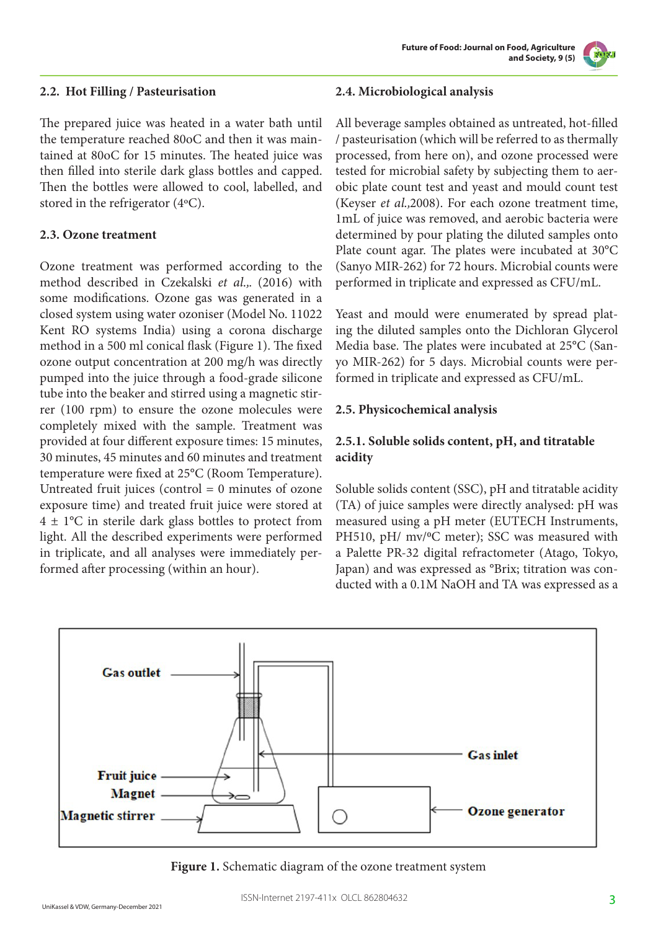**Future of Food: Journal on Food, Agriculture and Society, 9 (5)**



## **2.2. Hot Filling / Pasteurisation**

The prepared juice was heated in a water bath until the temperature reached 80oC and then it was maintained at 80oC for 15 minutes. The heated juice was then filled into sterile dark glass bottles and capped. Then the bottles were allowed to cool, labelled, and stored in the refrigerator (4°C).

## **2.3. Ozone treatment**

Ozone treatment was performed according to the method described in Czekalski *et al.,*. (2016) with some modifications. Ozone gas was generated in a closed system using water ozoniser (Model No. 11022 Kent RO systems India) using a corona discharge method in a 500 ml conical flask (Figure 1). The fixed ozone output concentration at 200 mg/h was directly pumped into the juice through a food-grade silicone tube into the beaker and stirred using a magnetic stirrer (100 rpm) to ensure the ozone molecules were completely mixed with the sample. Treatment was provided at four different exposure times: 15 minutes, 30 minutes, 45 minutes and 60 minutes and treatment temperature were fixed at 25°C (Room Temperature). Untreated fruit juices (control  $= 0$  minutes of ozone exposure time) and treated fruit juice were stored at  $4 \pm 1$ °C in sterile dark glass bottles to protect from light. All the described experiments were performed in triplicate, and all analyses were immediately performed after processing (within an hour).

#### **2.4. Microbiological analysis**

All beverage samples obtained as untreated, hot-filled / pasteurisation (which will be referred to as thermally processed, from here on), and ozone processed were tested for microbial safety by subjecting them to aerobic plate count test and yeast and mould count test (Keyser *et al.,*2008). For each ozone treatment time, 1mL of juice was removed, and aerobic bacteria were determined by pour plating the diluted samples onto Plate count agar. The plates were incubated at 30°C (Sanyo MIR-262) for 72 hours. Microbial counts were performed in triplicate and expressed as CFU/mL.

Yeast and mould were enumerated by spread plating the diluted samples onto the Dichloran Glycerol Media base. The plates were incubated at 25°C (Sanyo MIR-262) for 5 days. Microbial counts were performed in triplicate and expressed as CFU/mL.

## **2.5. Physicochemical analysis**

# **2.5.1. Soluble solids content, pH, and titratable acidity**

Soluble solids content (SSC), pH and titratable acidity (TA) of juice samples were directly analysed: pH was measured using a pH meter (EUTECH Instruments, PH510, pH/ mv/<sup>o</sup>C meter); SSC was measured with a Palette PR-32 digital refractometer (Atago, Tokyo, Japan) and was expressed as °Brix; titration was conducted with a 0.1M NaOH and TA was expressed as a



**Figure 1.** Schematic diagram of the ozone treatment system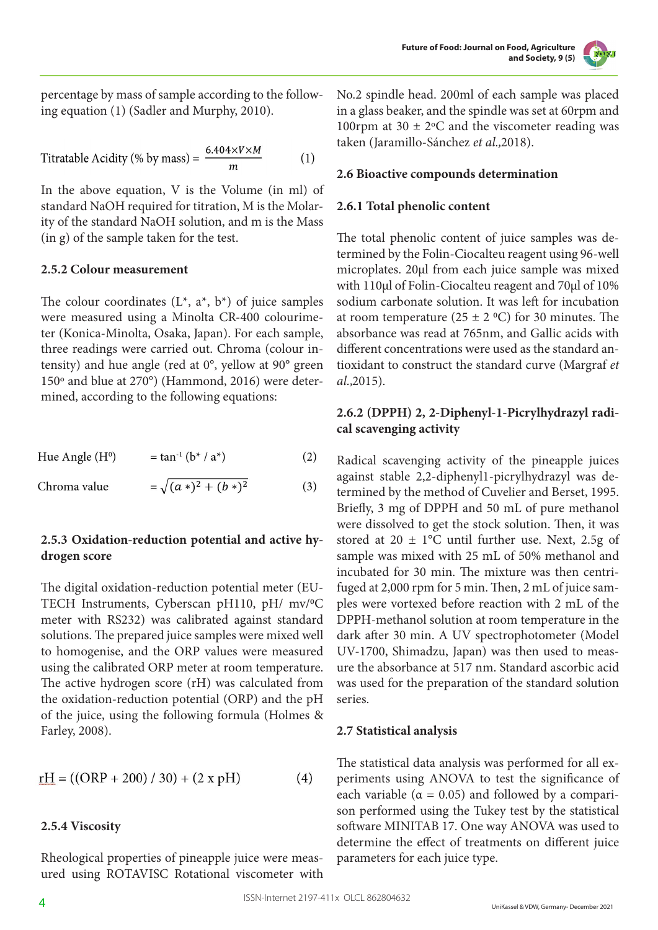

percentage by mass of sample according to the following equation (1) (Sadler and Murphy, 2010).

Titratable Acidity (% by mass) =  $\frac{6.404 \times V \times M}{m}$  $(1)$ 

In the above equation, V is the Volume (in ml) of standard NaOH required for titration, M is the Molarity of the standard NaOH solution, and m is the Mass (in g) of the sample taken for the test.

#### **2.5.2 Colour measurement**

The colour coordinates  $(L^*, a^*, b^*)$  of juice samples were measured using a Minolta CR-400 colourimeter (Konica-Minolta, Osaka, Japan). For each sample, three readings were carried out. Chroma (colour intensity) and hue angle (red at 0°, yellow at 90° green 150° and blue at 270°) (Hammond, 2016) were determined, according to the following equations:

 $=\sqrt{(a*)^2+(b*)^2}$ Chroma value

## **2.5.3 Oxidation-reduction potential and active hydrogen score**

The digital oxidation-reduction potential meter (EU-TECH Instruments, Cyberscan pH110, pH/ mv/<sup>o</sup>C meter with RS232) was calibrated against standard solutions. The prepared juice samples were mixed well to homogenise, and the ORP values were measured using the calibrated ORP meter at room temperature. The active hydrogen score (rH) was calculated from the oxidation-reduction potential (ORP) and the pH of the juice, using the following formula (Holmes & Farley, 2008).

$$
rH = ((ORP + 200) / 30) + (2 \times pH)
$$
 (4)

#### **2.5.4 Viscosity**

Rheological properties of pineapple juice were measured using ROTAVISC Rotational viscometer with No.2 spindle head. 200ml of each sample was placed in a glass beaker, and the spindle was set at 60rpm and 100rpm at 30  $\pm$  2°C and the viscometer reading was taken (Jaramillo-Sánchez *et al.,*2018).

#### **2.6 Bioactive compounds determination**

## **2.6.1 Total phenolic content**

The total phenolic content of juice samples was determined by the Folin-Ciocalteu reagent using 96-well microplates. 20μl from each juice sample was mixed with 110μl of Folin-Ciocalteu reagent and 70μl of 10% sodium carbonate solution. It was left for incubation at room temperature (25  $\pm$  2 °C) for 30 minutes. The absorbance was read at 765nm, and Gallic acids with different concentrations were used as the standard antioxidant to construct the standard curve (Margraf *et al.,*2015).

# **2.6.2 (DPPH) 2, 2-Diphenyl-1-Picrylhydrazyl radical scavenging activity**

Radical scavenging activity of the pineapple juices against stable 2,2-diphenyl1-picrylhydrazyl was determined by the method of Cuvelier and Berset, 1995. Briefly, 3 mg of DPPH and 50 mL of pure methanol were dissolved to get the stock solution. Then, it was stored at  $20 \pm 1$ °C until further use. Next, 2.5g of sample was mixed with 25 mL of 50% methanol and incubated for 30 min. The mixture was then centrifuged at 2,000 rpm for 5 min. Then, 2 mL of juice samples were vortexed before reaction with 2 mL of the DPPH-methanol solution at room temperature in the dark after 30 min. A UV spectrophotometer (Model UV-1700, Shimadzu, Japan) was then used to measure the absorbance at 517 nm. Standard ascorbic acid was used for the preparation of the standard solution series.

#### **2.7 Statistical analysis**

The statistical data analysis was performed for all experiments using ANOVA to test the significance of each variable ( $\alpha = 0.05$ ) and followed by a comparison performed using the Tukey test by the statistical software MINITAB 17. One way ANOVA was used to determine the effect of treatments on different juice parameters for each juice type.

 $(3)$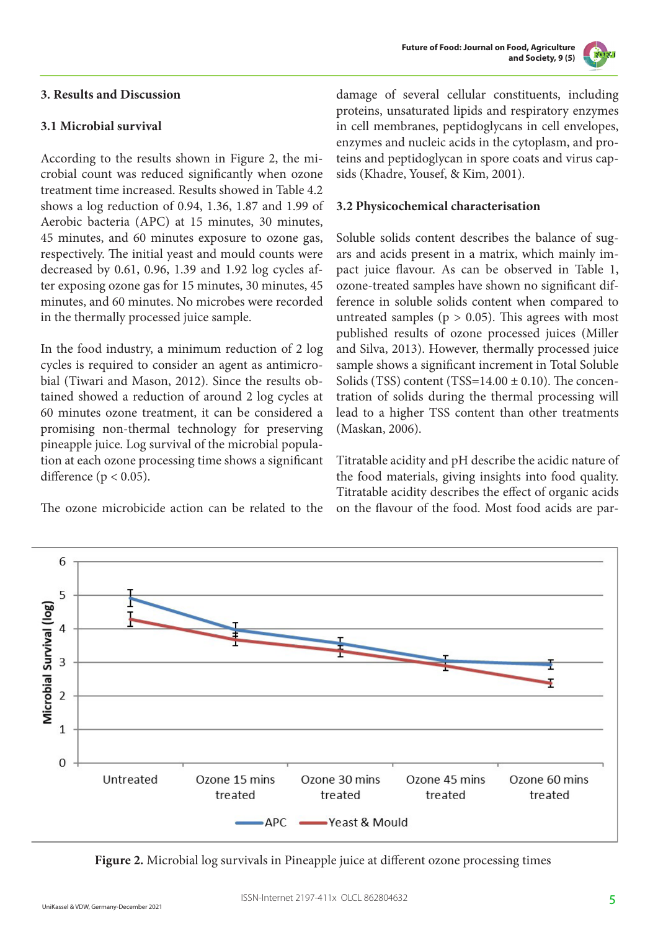

# **3. Results and Discussion**

# **3.1 Microbial survival**

According to the results shown in Figure 2, the microbial count was reduced significantly when ozone treatment time increased. Results showed in Table 4.2 shows a log reduction of 0.94, 1.36, 1.87 and 1.99 of Aerobic bacteria (APC) at 15 minutes, 30 minutes, 45 minutes, and 60 minutes exposure to ozone gas, respectively. The initial yeast and mould counts were decreased by 0.61, 0.96, 1.39 and 1.92 log cycles after exposing ozone gas for 15 minutes, 30 minutes, 45 minutes, and 60 minutes. No microbes were recorded in the thermally processed juice sample.

In the food industry, a minimum reduction of 2 log cycles is required to consider an agent as antimicrobial (Tiwari and Mason, 2012). Since the results obtained showed a reduction of around 2 log cycles at 60 minutes ozone treatment, it can be considered a promising non-thermal technology for preserving pineapple juice. Log survival of the microbial population at each ozone processing time shows a significant difference ( $p < 0.05$ ).

The ozone microbicide action can be related to the

damage of several cellular constituents, including proteins, unsaturated lipids and respiratory enzymes in cell membranes, peptidoglycans in cell envelopes, enzymes and nucleic acids in the cytoplasm, and proteins and peptidoglycan in spore coats and virus capsids (Khadre, Yousef, & Kim, 2001).

# **3.2 Physicochemical characterisation**

Soluble solids content describes the balance of sugars and acids present in a matrix, which mainly impact juice flavour. As can be observed in Table 1, ozone-treated samples have shown no significant difference in soluble solids content when compared to untreated samples ( $p > 0.05$ ). This agrees with most published results of ozone processed juices (Miller and Silva, 2013). However, thermally processed juice sample shows a significant increment in Total Soluble Solids (TSS) content (TSS= $14.00 \pm 0.10$ ). The concentration of solids during the thermal processing will lead to a higher TSS content than other treatments (Maskan, 2006).

Titratable acidity and pH describe the acidic nature of the food materials, giving insights into food quality. Titratable acidity describes the effect of organic acids on the flavour of the food. Most food acids are par-



**Figure 2.** Microbial log survivals in Pineapple juice at different ozone processing times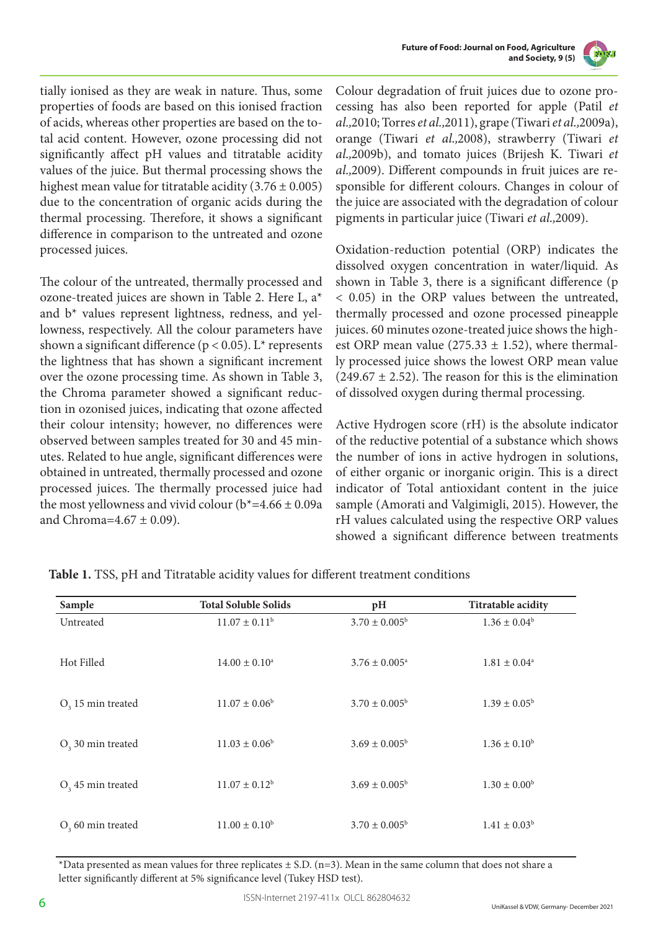



tially ionised as they are weak in nature. Thus, some properties of foods are based on this ionised fraction of acids, whereas other properties are based on the total acid content. However, ozone processing did not significantly affect pH values and titratable acidity values of the juice. But thermal processing shows the highest mean value for titratable acidity  $(3.76 \pm 0.005)$ due to the concentration of organic acids during the thermal processing. Therefore, it shows a significant difference in comparison to the untreated and ozone processed juices.

The colour of the untreated, thermally processed and ozone-treated juices are shown in Table 2. Here L, a\* and b\* values represent lightness, redness, and yellowness, respectively. All the colour parameters have shown a significant difference ( $p < 0.05$ ). L<sup>\*</sup> represents the lightness that has shown a significant increment over the ozone processing time. As shown in Table 3, the Chroma parameter showed a significant reduction in ozonised juices, indicating that ozone affected their colour intensity; however, no differences were observed between samples treated for 30 and 45 minutes. Related to hue angle, significant differences were obtained in untreated, thermally processed and ozone processed juices. The thermally processed juice had the most yellowness and vivid colour ( $b^*=4.66 \pm 0.09a$ and Chroma= $4.67 \pm 0.09$ ).

Colour degradation of fruit juices due to ozone processing has also been reported for apple (Patil *et al.,*2010; Torres *et al.,*2011), grape (Tiwari *et al.,*2009a), orange (Tiwari *et al.,*2008), strawberry (Tiwari *et al.,*2009b), and tomato juices (Brijesh K. Tiwari *et al.,*2009). Different compounds in fruit juices are responsible for different colours. Changes in colour of the juice are associated with the degradation of colour pigments in particular juice (Tiwari *et al.,*2009).

Oxidation-reduction potential (ORP) indicates the dissolved oxygen concentration in water/liquid. As shown in Table 3, there is a significant difference (p < 0.05) in the ORP values between the untreated, thermally processed and ozone processed pineapple juices. 60 minutes ozone-treated juice shows the highest ORP mean value (275.33  $\pm$  1.52), where thermally processed juice shows the lowest ORP mean value  $(249.67 \pm 2.52)$ . The reason for this is the elimination of dissolved oxygen during thermal processing.

Active Hydrogen score (rH) is the absolute indicator of the reductive potential of a substance which shows the number of ions in active hydrogen in solutions, of either organic or inorganic origin. This is a direct indicator of Total antioxidant content in the juice sample (Amorati and Valgimigli, 2015). However, the rH values calculated using the respective ORP values showed a significant difference between treatments

| Sample              | <b>Total Soluble Solids</b> | pH                       | Titratable acidity      |
|---------------------|-----------------------------|--------------------------|-------------------------|
| Untreated           | $11.07 \pm 0.11^b$          | $3.70 \pm 0.005^b$       | $1.36 \pm 0.04^b$       |
| Hot Filled          | $14.00 \pm 0.10^{\circ}$    | $3.76 \pm 0.005^{\circ}$ | $1.81 \pm 0.04^a$       |
| $O3$ 15 min treated | $11.07 \pm 0.06^b$          | $3.70 \pm 0.005^{\rm b}$ | $1.39 \pm 0.05^{\rm b}$ |
| $O3$ 30 min treated | $11.03 \pm 0.06^b$          | $3.69 \pm 0.005^{\rm b}$ | $1.36 \pm 0.10^b$       |
| $O3$ 45 min treated | $11.07 \pm 0.12^b$          | $3.69 \pm 0.005^b$       | $1.30 \pm 0.00^{\rm b}$ |
| $O3$ 60 min treated | $11.00 \pm 0.10^b$          | $3.70 \pm 0.005^{\rm b}$ | $1.41 \pm 0.03^b$       |

**Table 1.** TSS, pH and Titratable acidity values for different treatment conditions

\*Data presented as mean values for three replicates  $\pm$  S.D. (n=3). Mean in the same column that does not share a letter significantly different at 5% significance level (Tukey HSD test).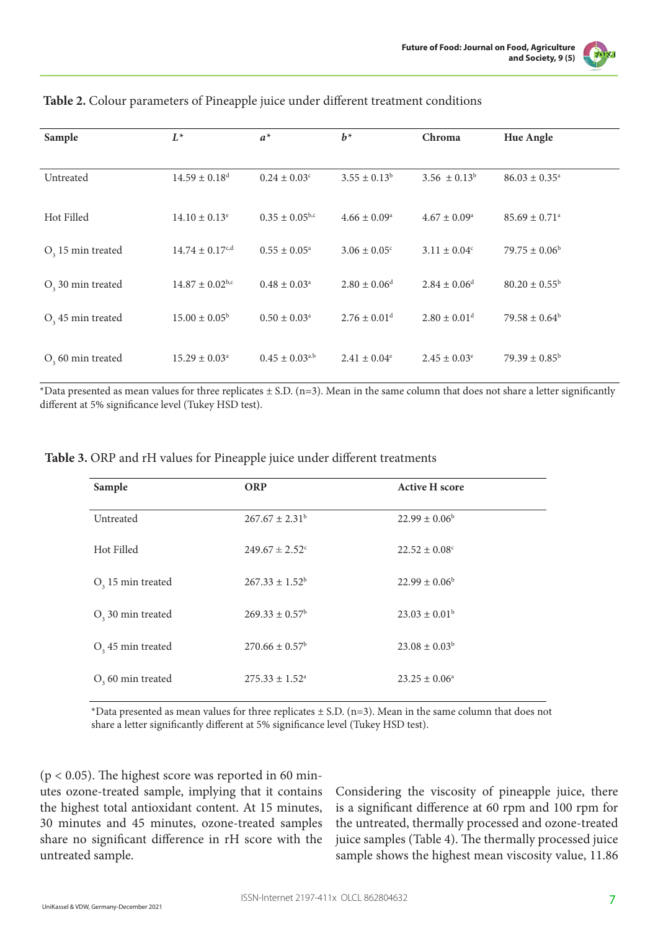

| Sample              | $L^*$                           | $a^*$                          | $b^*$                        | Chroma                       | Hue Angle                     |
|---------------------|---------------------------------|--------------------------------|------------------------------|------------------------------|-------------------------------|
| Untreated           | $14.59 \pm 0.18$ <sup>d</sup>   | $0.24 \pm 0.03$ <sup>c</sup>   | $3.55 \pm 0.13^b$            | $3.56 \pm 0.13^b$            | $86.03 \pm 0.35^{\circ}$      |
| Hot Filled          | $14.10 \pm 0.13$ <sup>e</sup>   | $0.35 \pm 0.05^{b,c}$          | $4.66 \pm 0.09^{\circ}$      | $4.67 \pm 0.09^{\rm a}$      | $85.69 \pm 0.71$ <sup>a</sup> |
| $O3$ 15 min treated | $14.74 \pm 0.17$ <sup>c,d</sup> | $0.55 \pm 0.05^{\circ}$        | $3.06 \pm 0.05$ <sup>c</sup> | $3.11 \pm 0.04^c$            | $79.75 \pm 0.06^b$            |
| $O3$ 30 min treated | $14.87 \pm 0.02$ <sup>b,c</sup> | $0.48 \pm 0.03^{\circ}$        | $2.80 \pm 0.06$ <sup>d</sup> | $2.84 \pm 0.06^{\text{d}}$   | $80.20 \pm 0.55^{\rm b}$      |
| $O3$ 45 min treated | $15.00 \pm 0.05^{\rm b}$        | $0.50 \pm 0.03^{\text{a}}$     | $2.76 \pm 0.01$ <sup>d</sup> | $2.80 \pm 0.01$ <sup>d</sup> | $79.58 \pm 0.64^b$            |
| $O3$ 60 min treated | $15.29 \pm 0.03^{\circ}$        | $0.45 \pm 0.03$ <sup>a,b</sup> | $2.41 \pm 0.04^e$            | $2.45 \pm 0.03^e$            | $79.39 \pm 0.85^{\rm b}$      |

#### **Table 2.** Colour parameters of Pineapple juice under different treatment conditions

\*Data presented as mean values for three replicates  $\pm$  S.D. (n=3). Mean in the same column that does not share a letter significantly different at 5% significance level (Tukey HSD test).

| Sample              | <b>ORP</b>                     | <b>Active H score</b>         |
|---------------------|--------------------------------|-------------------------------|
| Untreated           | $267.67 \pm 2.31^b$            | $22.99 \pm 0.06^b$            |
| Hot Filled          | $249.67 \pm 2.52$ <sup>c</sup> | $22.52 \pm 0.08$ <sup>c</sup> |
| $O3$ 15 min treated | $267.33 \pm 1.52^b$            | $22.99 \pm 0.06^b$            |
| $O3$ 30 min treated | $269.33 \pm 0.57^{\circ}$      | $23.03 \pm 0.01^{\rm b}$      |
| $O3$ 45 min treated | $270.66 \pm 0.57$ <sup>b</sup> | $23.08 \pm 0.03^b$            |
| $O3$ 60 min treated | $275.33 \pm 1.52^{\circ}$      | $23.25 \pm 0.06^{\circ}$      |

\*Data presented as mean values for three replicates  $\pm$  S.D. (n=3). Mean in the same column that does not share a letter significantly different at 5% significance level (Tukey HSD test).

 $(p < 0.05)$ . The highest score was reported in 60 minutes ozone-treated sample, implying that it contains the highest total antioxidant content. At 15 minutes, 30 minutes and 45 minutes, ozone-treated samples share no significant difference in rH score with the untreated sample.

Considering the viscosity of pineapple juice, there is a significant difference at 60 rpm and 100 rpm for the untreated, thermally processed and ozone-treated juice samples (Table 4). The thermally processed juice sample shows the highest mean viscosity value, 11.86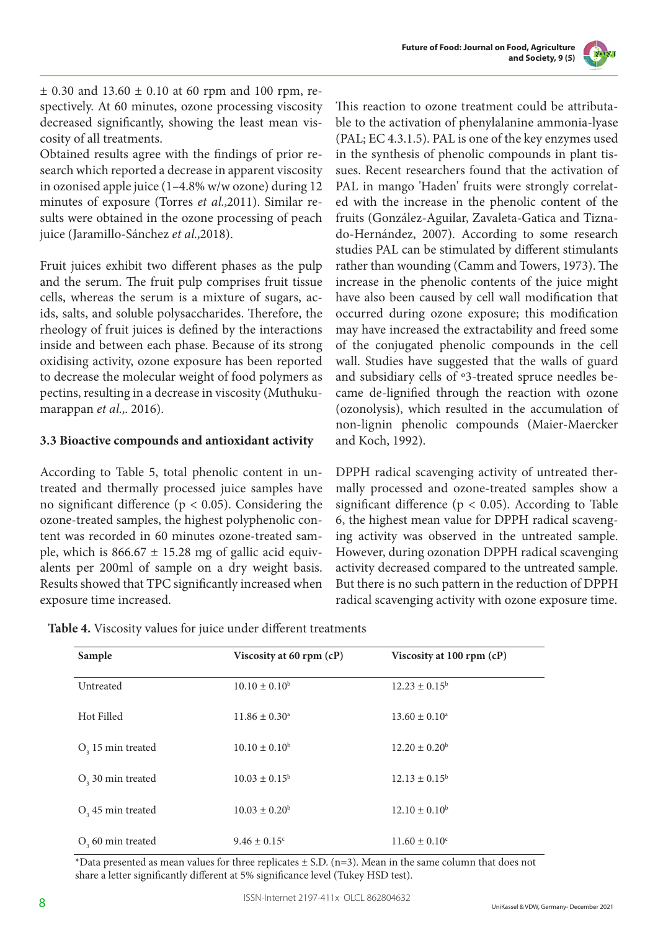

 $\pm$  0.30 and 13.60  $\pm$  0.10 at 60 rpm and 100 rpm, respectively. At 60 minutes, ozone processing viscosity decreased significantly, showing the least mean viscosity of all treatments.

Obtained results agree with the findings of prior research which reported a decrease in apparent viscosity in ozonised apple juice (1–4.8% w/w ozone) during 12 minutes of exposure (Torres *et al.,*2011). Similar results were obtained in the ozone processing of peach juice (Jaramillo-Sánchez *et al.,*2018).

Fruit juices exhibit two different phases as the pulp and the serum. The fruit pulp comprises fruit tissue cells, whereas the serum is a mixture of sugars, acids, salts, and soluble polysaccharides. Therefore, the rheology of fruit juices is defined by the interactions inside and between each phase. Because of its strong oxidising activity, ozone exposure has been reported to decrease the molecular weight of food polymers as pectins, resulting in a decrease in viscosity (Muthukumarappan *et al.,*. 2016).

## **3.3 Bioactive compounds and antioxidant activity**

According to Table 5, total phenolic content in untreated and thermally processed juice samples have no significant difference ( $p < 0.05$ ). Considering the ozone-treated samples, the highest polyphenolic content was recorded in 60 minutes ozone-treated sample, which is  $866.67 \pm 15.28$  mg of gallic acid equivalents per 200ml of sample on a dry weight basis. Results showed that TPC significantly increased when exposure time increased.

This reaction to ozone treatment could be attributable to the activation of phenylalanine ammonia-lyase (PAL; EC 4.3.1.5). PAL is one of the key enzymes used in the synthesis of phenolic compounds in plant tissues. Recent researchers found that the activation of PAL in mango 'Haden' fruits were strongly correlated with the increase in the phenolic content of the fruits (González-Aguilar, Zavaleta-Gatica and Tiznado-Hernández, 2007). According to some research studies PAL can be stimulated by different stimulants rather than wounding (Camm and Towers, 1973). The increase in the phenolic contents of the juice might have also been caused by cell wall modification that occurred during ozone exposure; this modification may have increased the extractability and freed some of the conjugated phenolic compounds in the cell wall. Studies have suggested that the walls of guard and subsidiary cells of º3-treated spruce needles became de-lignified through the reaction with ozone (ozonolysis), which resulted in the accumulation of non-lignin phenolic compounds (Maier-Maercker and Koch, 1992).

DPPH radical scavenging activity of untreated thermally processed and ozone-treated samples show a significant difference ( $p < 0.05$ ). According to Table 6, the highest mean value for DPPH radical scavenging activity was observed in the untreated sample. However, during ozonation DPPH radical scavenging activity decreased compared to the untreated sample. But there is no such pattern in the reduction of DPPH radical scavenging activity with ozone exposure time.

| Table 4. Viscosity values for juice under different treatments |  |
|----------------------------------------------------------------|--|
|----------------------------------------------------------------|--|

| Sample                | Viscosity at 60 rpm (cP) | Viscosity at 100 rpm (cP) |
|-----------------------|--------------------------|---------------------------|
| Untreated             | $10.10 \pm 0.10^b$       | $12.23 \pm 0.15^{\circ}$  |
| Hot Filled            | $11.86 \pm 0.30^{\circ}$ | $13.60 \pm 0.10^{\circ}$  |
| $O3$ 15 min treated   | $10.10 \pm 0.10^b$       | $12.20 \pm 0.20^b$        |
| $O3$ , 30 min treated | $10.03 \pm 0.15^{\rm b}$ | $12.13 \pm 0.15^b$        |
| $O3$ 45 min treated   | $10.03 \pm 0.20^b$       | $12.10 \pm 0.10^b$        |
| $O3$ 60 min treated   | $9.46 \pm 0.15$ °        | $11.60 \pm 0.10^{\circ}$  |

\*Data presented as mean values for three replicates  $\pm$  S.D. (n=3). Mean in the same column that does not share a letter significantly different at 5% significance level (Tukey HSD test).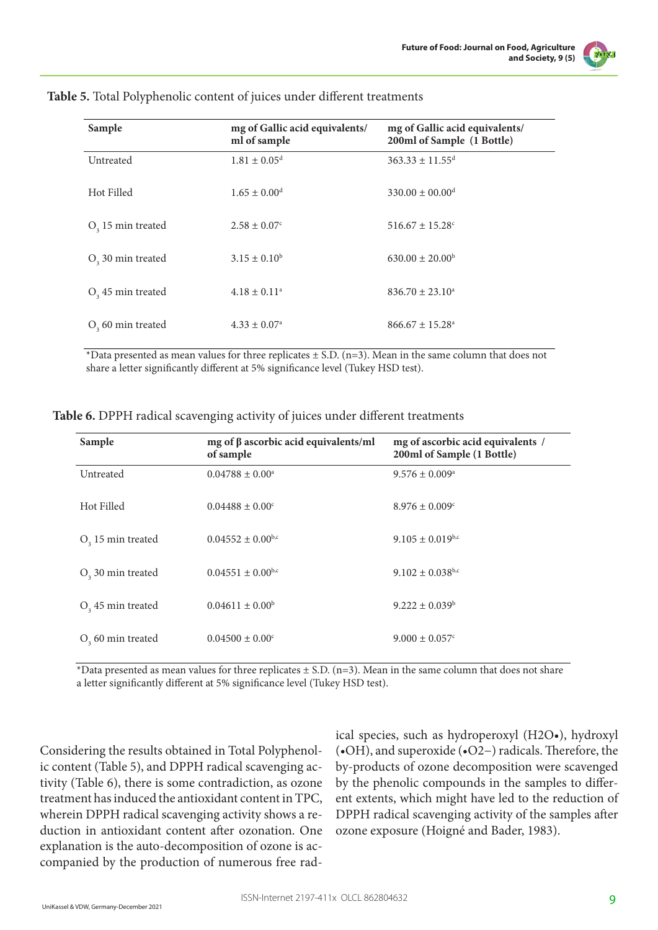

| Sample                | mg of Gallic acid equivalents/<br>ml of sample | mg of Gallic acid equivalents/<br>200ml of Sample (1 Bottle) |
|-----------------------|------------------------------------------------|--------------------------------------------------------------|
| Untreated             | $1.81 \pm 0.05$ <sup>d</sup>                   | $363.33 \pm 11.55$ <sup>d</sup>                              |
| Hot Filled            | $1.65 \pm 0.00^{\rm d}$                        | $330.00 \pm 00.00$ <sup>d</sup>                              |
| $O3$ 15 min treated   | $2.58 \pm 0.07$ °                              | $516.67 \pm 15.28$ <sup>c</sup>                              |
| $O3$ 30 min treated   | $3.15 \pm 0.10^b$                              | $630.00 \pm 20.00^{\rm b}$                                   |
| $O3$ 45 min treated   | $4.18 \pm 0.11^a$                              | $836.70 \pm 23.10^a$                                         |
| $O2$ , 60 min treated | $4.33 \pm 0.07^{\circ}$                        | $866.67 \pm 15.28^{\circ}$                                   |

#### **Table 5.** Total Polyphenolic content of juices under different treatments

 $*$ Data presented as mean values for three replicates  $\pm$  S.D. (n=3). Mean in the same column that does not share a letter significantly different at 5% significance level (Tukey HSD test).

| Sample                        | mg of $\beta$ ascorbic acid equivalents/ml<br>of sample | mg of ascorbic acid equivalents /<br>200ml of Sample (1 Bottle) |
|-------------------------------|---------------------------------------------------------|-----------------------------------------------------------------|
| Untreated                     | $0.04788 \pm 0.00^a$                                    | $9.576 \pm 0.009^{\circ}$                                       |
| Hot Filled                    | $0.04488 \pm 0.00$ <sup>c</sup>                         | $8.976 \pm 0.009$ <sup>c</sup>                                  |
| $O3$ 15 min treated           | $0.04552 \pm 0.00$ <sup>b,c</sup>                       | $9.105 \pm 0.019^{b,c}$                                         |
| O <sub>2</sub> 30 min treated | $0.04551 \pm 0.00$ <sup>b,c</sup>                       | $9.102 \pm 0.038$ <sup>b,c</sup>                                |
| $O3$ 45 min treated           | $0.04611 \pm 0.00^b$                                    | $9.222 \pm 0.039^b$                                             |
| $O3$ 60 min treated           | $0.04500 \pm 0.00$ <sup>c</sup>                         | $9.000 \pm 0.057$ °                                             |

**Table 6.** DPPH radical scavenging activity of juices under different treatments

\*Data presented as mean values for three replicates  $\pm$  S.D. (n=3). Mean in the same column that does not share a letter significantly different at 5% significance level (Tukey HSD test).

Considering the results obtained in Total Polyphenolic content (Table 5), and DPPH radical scavenging activity (Table 6), there is some contradiction, as ozone treatment has induced the antioxidant content in TPC, wherein DPPH radical scavenging activity shows a reduction in antioxidant content after ozonation. One explanation is the auto-decomposition of ozone is accompanied by the production of numerous free rad-

ical species, such as hydroperoxyl (H2O•), hydroxyl (•OH), and superoxide (•O2−) radicals. Therefore, the by-products of ozone decomposition were scavenged by the phenolic compounds in the samples to different extents, which might have led to the reduction of DPPH radical scavenging activity of the samples after ozone exposure (Hoigné and Bader, 1983).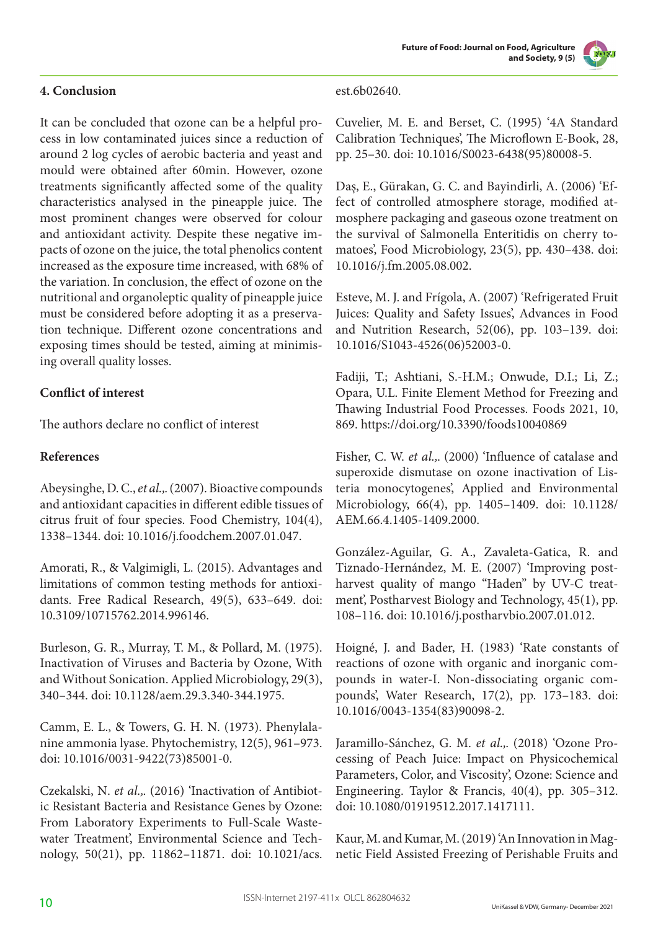# **4. Conclusion**

It can be concluded that ozone can be a helpful process in low contaminated juices since a reduction of around 2 log cycles of aerobic bacteria and yeast and mould were obtained after 60min. However, ozone treatments significantly affected some of the quality characteristics analysed in the pineapple juice. The most prominent changes were observed for colour and antioxidant activity. Despite these negative impacts of ozone on the juice, the total phenolics content increased as the exposure time increased, with 68% of the variation. In conclusion, the effect of ozone on the nutritional and organoleptic quality of pineapple juice must be considered before adopting it as a preservation technique. Different ozone concentrations and exposing times should be tested, aiming at minimising overall quality losses.

# **Conflict of interest**

The authors declare no conflict of interest

## **References**

Abeysinghe, D. C., *et al.,*. (2007). Bioactive compounds and antioxidant capacities in different edible tissues of citrus fruit of four species. Food Chemistry, 104(4), 1338–1344. doi: 10.1016/j.foodchem.2007.01.047.

Amorati, R., & Valgimigli, L. (2015). Advantages and limitations of common testing methods for antioxidants. Free Radical Research, 49(5), 633–649. doi: 10.3109/10715762.2014.996146.

Burleson, G. R., Murray, T. M., & Pollard, M. (1975). Inactivation of Viruses and Bacteria by Ozone, With and Without Sonication. Applied Microbiology, 29(3), 340–344. doi: 10.1128/aem.29.3.340-344.1975.

Camm, E. L., & Towers, G. H. N. (1973). Phenylalanine ammonia lyase. Phytochemistry, 12(5), 961–973. doi: 10.1016/0031-9422(73)85001-0.

Czekalski, N. *et al.,*. (2016) 'Inactivation of Antibiotic Resistant Bacteria and Resistance Genes by Ozone: From Laboratory Experiments to Full-Scale Wastewater Treatment', Environmental Science and Technology, 50(21), pp. 11862–11871. doi: 10.1021/acs.

#### est.6b02640.

Cuvelier, M. E. and Berset, C. (1995) '4A Standard Calibration Techniques', The Microflown E-Book, 28, pp. 25–30. doi: 10.1016/S0023-6438(95)80008-5.

Daş, E., Gürakan, G. C. and Bayindirli, A. (2006) 'Effect of controlled atmosphere storage, modified atmosphere packaging and gaseous ozone treatment on the survival of Salmonella Enteritidis on cherry tomatoes', Food Microbiology, 23(5), pp. 430–438. doi: 10.1016/j.fm.2005.08.002.

Esteve, M. J. and Frígola, A. (2007) 'Refrigerated Fruit Juices: Quality and Safety Issues', Advances in Food and Nutrition Research, 52(06), pp. 103–139. doi: 10.1016/S1043-4526(06)52003-0.

Fadiji, T.; Ashtiani, S.-H.M.; Onwude, D.I.; Li, Z.; Opara, U.L. Finite Element Method for Freezing and Thawing Industrial Food Processes. Foods 2021, 10, 869. https://doi.org/10.3390/foods10040869

Fisher, C. W. *et al.,*. (2000) 'Influence of catalase and superoxide dismutase on ozone inactivation of Listeria monocytogenes', Applied and Environmental Microbiology, 66(4), pp. 1405–1409. doi: 10.1128/ AEM.66.4.1405-1409.2000.

González-Aguilar, G. A., Zavaleta-Gatica, R. and Tiznado-Hernández, M. E. (2007) 'Improving postharvest quality of mango "Haden" by UV-C treatment', Postharvest Biology and Technology, 45(1), pp. 108–116. doi: 10.1016/j.postharvbio.2007.01.012.

Hoigné, J. and Bader, H. (1983) 'Rate constants of reactions of ozone with organic and inorganic compounds in water-I. Non-dissociating organic compounds', Water Research, 17(2), pp. 173–183. doi: 10.1016/0043-1354(83)90098-2.

Jaramillo-Sánchez, G. M. *et al.,*. (2018) 'Ozone Processing of Peach Juice: Impact on Physicochemical Parameters, Color, and Viscosity', Ozone: Science and Engineering. Taylor & Francis, 40(4), pp. 305–312. doi: 10.1080/01919512.2017.1417111.

Kaur, M. and Kumar, M. (2019) 'An Innovation in Magnetic Field Assisted Freezing of Perishable Fruits and

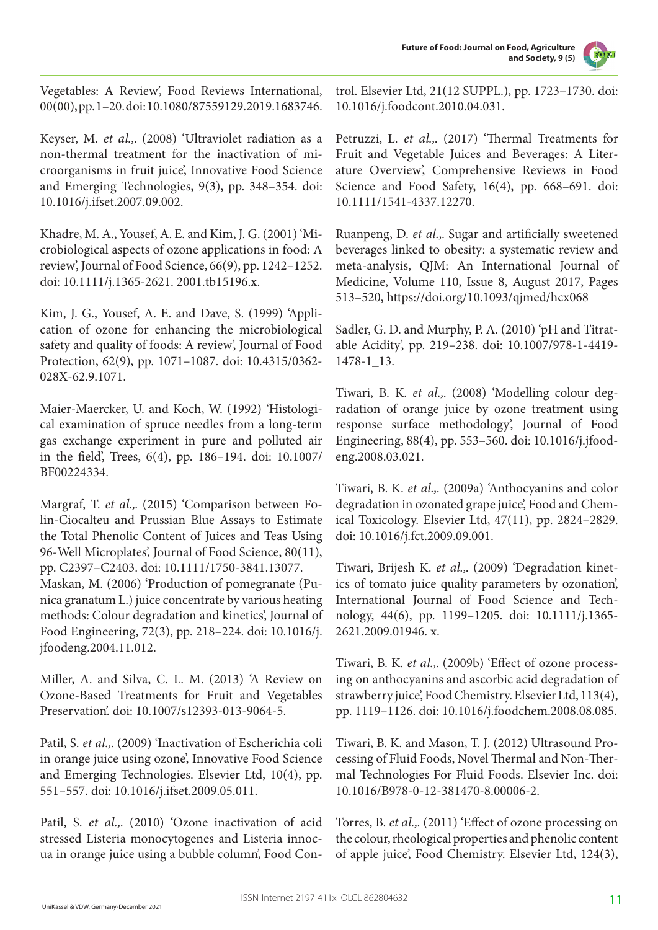

Vegetables: A Review', Food Reviews International, 00(00), pp. 1–20. doi: 10.1080/87559129.2019.1683746.

Keyser, M. *et al.,*. (2008) 'Ultraviolet radiation as a non-thermal treatment for the inactivation of microorganisms in fruit juice', Innovative Food Science and Emerging Technologies, 9(3), pp. 348–354. doi: 10.1016/j.ifset.2007.09.002.

Khadre, M. A., Yousef, A. E. and Kim, J. G. (2001) 'Microbiological aspects of ozone applications in food: A review', Journal of Food Science, 66(9), pp. 1242–1252. doi: 10.1111/j.1365-2621. 2001.tb15196.x.

Kim, J. G., Yousef, A. E. and Dave, S. (1999) 'Application of ozone for enhancing the microbiological safety and quality of foods: A review', Journal of Food Protection, 62(9), pp. 1071–1087. doi: 10.4315/0362- 028X-62.9.1071.

Maier-Maercker, U. and Koch, W. (1992) 'Histological examination of spruce needles from a long-term gas exchange experiment in pure and polluted air in the field', Trees, 6(4), pp. 186–194. doi: 10.1007/ BF00224334.

Margraf, T. *et al.,*. (2015) 'Comparison between Folin-Ciocalteu and Prussian Blue Assays to Estimate the Total Phenolic Content of Juices and Teas Using 96-Well Microplates', Journal of Food Science, 80(11), pp. C2397–C2403. doi: 10.1111/1750-3841.13077. Maskan, M. (2006) 'Production of pomegranate (Punica granatum L.) juice concentrate by various heating methods: Colour degradation and kinetics', Journal of Food Engineering, 72(3), pp. 218–224. doi: 10.1016/j. jfoodeng.2004.11.012.

Miller, A. and Silva, C. L. M. (2013) 'A Review on Ozone-Based Treatments for Fruit and Vegetables Preservation'. doi: 10.1007/s12393-013-9064-5.

Patil, S. *et al.,*. (2009) 'Inactivation of Escherichia coli in orange juice using ozone', Innovative Food Science and Emerging Technologies. Elsevier Ltd, 10(4), pp. 551–557. doi: 10.1016/j.ifset.2009.05.011.

Patil, S. *et al.,*. (2010) 'Ozone inactivation of acid stressed Listeria monocytogenes and Listeria innocua in orange juice using a bubble column', Food Control. Elsevier Ltd, 21(12 SUPPL.), pp. 1723–1730. doi: 10.1016/j.foodcont.2010.04.031.

Petruzzi, L. *et al.,*. (2017) 'Thermal Treatments for Fruit and Vegetable Juices and Beverages: A Literature Overview', Comprehensive Reviews in Food Science and Food Safety, 16(4), pp. 668–691. doi: 10.1111/1541-4337.12270.

Ruanpeng, D. *et al.,*. Sugar and artificially sweetened beverages linked to obesity: a systematic review and meta-analysis, QJM: An International Journal of Medicine, Volume 110, Issue 8, August 2017, Pages 513–520, https://doi.org/10.1093/qjmed/hcx068

Sadler, G. D. and Murphy, P. A. (2010) 'pH and Titratable Acidity', pp. 219–238. doi: 10.1007/978-1-4419- 1478-1\_13.

Tiwari, B. K. *et al.,*. (2008) 'Modelling colour degradation of orange juice by ozone treatment using response surface methodology', Journal of Food Engineering, 88(4), pp. 553–560. doi: 10.1016/j.jfoodeng.2008.03.021.

Tiwari, B. K. *et al.,*. (2009a) 'Anthocyanins and color degradation in ozonated grape juice', Food and Chemical Toxicology. Elsevier Ltd, 47(11), pp. 2824–2829. doi: 10.1016/j.fct.2009.09.001.

Tiwari, Brijesh K. *et al.,*. (2009) 'Degradation kinetics of tomato juice quality parameters by ozonation', International Journal of Food Science and Technology, 44(6), pp. 1199–1205. doi: 10.1111/j.1365- 2621.2009.01946. x.

Tiwari, B. K. *et al.,*. (2009b) 'Effect of ozone processing on anthocyanins and ascorbic acid degradation of strawberry juice', Food Chemistry. Elsevier Ltd, 113(4), pp. 1119–1126. doi: 10.1016/j.foodchem.2008.08.085.

Tiwari, B. K. and Mason, T. J. (2012) Ultrasound Processing of Fluid Foods, Novel Thermal and Non-Thermal Technologies For Fluid Foods. Elsevier Inc. doi: 10.1016/B978-0-12-381470-8.00006-2.

Torres, B. *et al.,*. (2011) 'Effect of ozone processing on the colour, rheological properties and phenolic content of apple juice', Food Chemistry. Elsevier Ltd, 124(3),